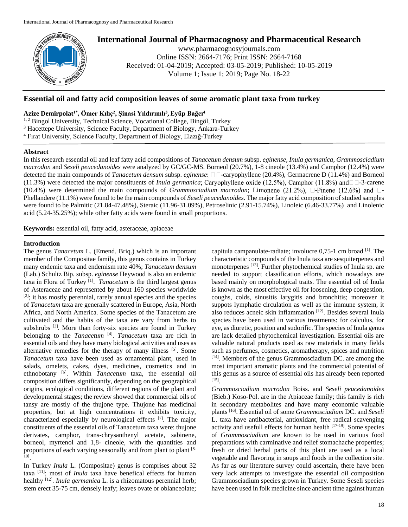

# **International Journal of Pharmacognosy and Pharmaceutical Research**

www.pharmacognosyjournals.com Online ISSN: 2664-7176; Print ISSN: 2664-7168 Received: 01-04-2019; Accepted: 03-05-2019; Published: 10-05-2019 Volume 1; Issue 1; 2019; Page No. 18-22

## **Essential oil and fatty acid composition leaves of some aromatic plant taxa from turkey**

## **Azize Demirpolat1\* , Ömer Kılıç<sup>2</sup> , Şinasi Yıldırımlı<sup>3</sup> ,Eyüp Bağcı<sup>4</sup>**

<sup>1, 2</sup> Bingol University, Technical Science, Vocational College, Bingöl, Turkey

<sup>3</sup> Hacettepe University, Science Faculty, Department of Biology, Ankara-Turkey

<sup>4</sup> Fırat University, Science Faculty, Department of Biology, Elazığ-Turkey

#### **Abstract**

In this research essential oil and leaf fatty acid compositions of *Tanacetum densum* subsp. *eginense, Inula germanica*, *Grammosciadium macrodon* and *Seseli peucedanoides* were analyzed by GC/GC-MS. Borneol (20.7%), 1-8 cineole (13.4%) and Camphor (12.4%) were detected the main compounds of *Tanacetum densum* subsp. *eginense*;  $\Box$  $\Box$ -caryophyllene (20.4%), Germacrene D (11.4%) and Borneol  $(11.3%)$  were detected the major constituents of *Inula germanica*; Caryophyllene oxide  $(12.5%)$ , Camphor  $(11.8%)$  and  $\square$ -3-carene (10.4%) were determined the main compounds of *Grammosciadium macrodon*; Limonene (21.2%),  $\Box$ -Pinene (12.6%) and  $\Box$ -Phellandere (11.1%) were found to be the main compounds of *Seseli peucedanoides.* The major fatty acid composition of studied samples were found to be Palmitic (21.84-47.48%), Steraic (11.96-31.09%), Petroselinic (2.91-15.74%), Linoleic (6.46-33.77%) and Linolenic acid (5.24-35.25%); while other fatty acids were found in small proportions.

**Keywords:** essential oil, fatty acid, asteraceae, apiaceae

### **Introduction**

The genus *Tanacetum* L. (Emend. Briq.) which is an important member of the Compositae family, this genus contains in Turkey many endemic taxa and endemism rate 40%; *Tanacetum densum*  (Lab.) Schultz Bip. subsp. *eginense* Heywood is also an endemic taxa in Flora of Turkey [1] . *Tanacetum* is the third largest genus of Asteraceae and represented by about 160 species worldwide  $[2]$ ; it has mostly perennial, rarely annual species and the species of *Tanacetum* taxa are generally scattered in Europe, Asia, North Africa, and North America. Some species of the Tanacetum are cultivated and the habits of the taxa are vary from herbs to subshrubs [3]. More than forty-six species are found in Turkey belonging to the *Tanacetum* [4] . *Tanacetum* taxa are rich in essential oils and they have many biological activities and uses as alternative remedies for the therapy of many illness  $[5]$ . Some *Tanacetum* taxa have been used as ornamental plant, used in salads, omelets, cakes, dyes, medicines, cosmetics and in ethnobotany [6]. Within *Tanacetum* taxa, the essential oil composition differs significantly, depending on the geographical origins, ecological conditions, different regions of the plant and developmental stages; the review showed that commercial oils of tansy are mostly of the thujone type. Thujone has medicinal properties, but at high concentrations it exhibits toxicity, characterized especially by neurological effects [7]. The major constituents of the essential oils of Tanacetum taxa were: thujone derivates, camphor, trans-chrysanthenyl acetate, sabinene, borneol, myrtenol and 1,8- cineole, with the quantities and proportions of each varying seasonally and from plant to plant [8-10] .

In Turkey *Inula* L*.* (Compositae) genus is comprises about 32 taxa [11]; most of *Inula* taxa have benefical effects for human healthy <sup>[12]</sup>. *Inula germanica* L. is a rhizomatous perennial herb; stem erect 35-75 cm, densely leafy; leaves ovate or oblanceolate;

capitula campanulate-radiate; involucre  $0,75$ -1 cm broad  $^{[1]}$ . The characteristic compounds of the Inula taxa are sesquiterpenes and monoterpenes [13]. Further phytochemical studies of Inula sp. are needed to support classification efforts, which nowadays are based mainly on morphological traits. The essential oil of Inula is known as the most effective oil for loosening, deep congestion, coughs, colds, sinusitis larygitis and bronchitis; moreover it suppots lymphatic circulation as well as the immune system, it also reduces acneic skin inflammation [12]. Besides several Inula species have been used in various treatments: for calculus, for eye, as diuretic, position and sudorific. The species of Inula genus are lack detailed phytochemical investigation. Essential oils are valuable natural products used as raw materials in many fields such as perfumes, cosmetics, aromatherapy, spices and nutrition [14]. Members of the genus Grammosciadium DC. are among the most important aromatic plants and the commercial potential of this genus as a source of essential oils has already been reported [15] .

*Grammosciadium macrodon* Boiss. and *Seseli peucedanoides*  (Bieb.) Koso-Pol. are in the Apiaceae family; this family is rich in secondary metabolites and have many economic valuable plants [16]. Essential oil of some *Grammosciadium* DC. and *Seseli* L. taxa have antibacterial, antioxidant, free radical scavenging activity and usefull effects for human health [17-19]. Some species of *Grammosciadium* are known to be used in various food preparations with carminative and relief stomachache properties; fresh or dried herbal parts of this plant are used as a local vegetable and flavoring in soups and foods in the collection site. As far as our literature survey could ascertain, there have been very lack attempts to investigate the essential oil composition Grammosciadium species grown in Turkey. Some Seseli species have been used in folk medicine since ancient time against human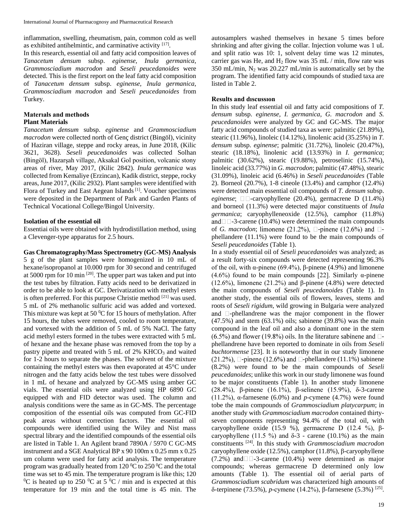inflammation, swelling, rheumatism, pain, common cold as well as exhibited antihelmintic, and carminative activity [17].

In this research, essential oil and fatty acid composition leaves of *Tanacetum densum* subsp. *eginense, Inula germanica*, *Grammosciadium macrodon* and *Seseli peucedanoides* were detected. This is the first report on the leaf fatty acid composition of *Tanacetum densum* subsp. *eginense, Inula germanica*, *Grammosciadium macrodon* and *Seseli peucedanoides* from Turkey.

## **Materıals and methods Plant Materials**

*Tanacetum densum* subsp. *eginense* and *Grammosciadium macrodon* were collected north of Genç district (Bingöl), vicinity of Haziran village, steppe and rocky areas, in June 2018, (Kilic 3621, 3628). *Seseli peucedanoides* was collected Solhan (Bingöl), Hazarşah village, Aksakal Gol position, volcanic stony areas of river, May 2017, (Kilic 2842). *Inula germanica* was collected from Kemaliye (Erzincan), Kadik district, steppe, rocky areas, June 2017, (Kilic 2932). Plant samples were identified with Flora of Turkey and East Aegean Islands<sup>[1]</sup>. Voucher specimens were deposited in the Department of Park and Garden Plants of Technical Vocational College/Bingol University.

#### **Isolation of the essential oil**

Essentiai oils were obtained with hydrodistillation method, using a Clevenger-type apparatus for 2.5 hours.

### **Gas Chromatography/Mass Spectrometry (GC-MS) Analysis**

5 g of the plant samples were homogenized in 10 mL of hexane/isopropanol at 10.000 rpm for 30 second and centrifuged at 5000 rpm for 10 min [20]. The upper part was taken and put into the test tubes by filtration. Fatty acids need to be derivatized in order to be able to look at GC. Derivatization with methyl esters is often preferred. For this purpose Christie method  $[21]$  was used. 5 mL of 2% methanolic sulfuric acid was added and vortexed. This mixture was kept at 50 $\mathrm{^0C}$  for 15 hours of methylation. After 15 hours, the tubes were removed, cooled to room temperature, and vortexed with the addition of 5 mL of 5% NaCl. The fatty acid methyl esters formed in the tubes were extracted with 5 mL of hexane and the hexane phase was removed from the top by a pastry pipette and treated with 5 mL of  $2\%$  KHCO<sub>3</sub> and waited for 1-2 hours to separate the phases. The solvent of the mixture containing the methyl esters was then evaporated at 45°C under nitrogen and the fatty acids below the test tubes were dissolved in 1 mL of hexane and analyzed by GC-MS using amber GC vials. The essential oils were analyzed using HP 6890 GC equipped with and FID detector was used. The column and analysis conditions were the same as in GC-MS. The percentage composition of the essential oils was computed from GC-FID peak areas without correction factors. The essential oil compounds were identified using the Wiley and Nist mass spectral library and the identified compounds of the essential oils are listed in Table 1. An Agilent brand 7890A / 5970 C GC-MS instrument and a SGE Analytical BP x 90 100m x 0.25 mm x 0.25 um column were used for fatty acid analysis. The temperature program was gradually heated from 120  $\rm{^0C}$  to 250  $\rm{^0C}$  and the total time was set to 45 min. The temperature program is like this; 120  ${}^{0}C$  is heated up to 250  ${}^{0}C$  at 5  ${}^{0}C$  / min and is expected at this temperature for 19 min and the total time is 45 min. The autosamplers washed themselves in hexane 5 times before shrinking and after giving the collar. Injection volume was 1 uL and split ratio was 10: 1, solvent delay time was 12 minutes, carrier gas was He, and  $H_2$  flow was 35 mL / min, flow rate was 350 mL/min,  $N_2$  was 20.227 mL/min is automatically set by the program. The identified fatty acid compounds of studied taxa are listed in Table 2.

#### **Results and dıscussıon**

In this study leaf essential oil and fatty acid compositions of *T. densum* subsp. *eginense, I. germanica*, *G. macrodon* and *S. peucedanoides* were analyzed by GC and GC-MS. The major fatty acid compounds of studied taxa as were: palmitic (21.89%), stearic (11.96%), linoleic (14.12%), linolenic acid (35.25%) in *T. densum* subsp. *eginense*; palmitic (31.72%), linoleic (20.47%), stearic (18.18%), linolenic acid (13.93%) in *I. germanica*; palmitic (30.62%), stearic (19.88%), petroselinic (15.74%), linoleic acid (33.77%) in *G. macrodon*; palmitic (47.48%), stearic (31.09%), linoleic acid (6.46%) in *Seseli peucedanoides* (Table 2). Borneol (20.7%), 1-8 cineole (13.4%) and camphor (12.4%) were detected main essential oil compounds of *T. densum* subsp. *eginense*;  $\Box$   $\Box$ -caryophyllene (20.4%), germacrene D (11.4%) and borneol (11.3%) were detected major constituents of *Inula germanica*; caryophylleneoxide (12.5%), camphor (11.8%) and  $\Box$  -3-carene (10.4%) were determined the main compounds of *G. macrodon*; limonene (21.2%),  $\Box$ -pinene (12.6%) and  $\Box$ phellandere (11.1%) were found to be the main compounds of *Seseli peucedanoides* (Table 1).

In a study essential oil of *Seseli peucedanoides* was analyzed; as a result forty-six compounds were detected representing 96.3% of the oil, with α-pinene (69.4%), β-pinene (4.9%) and limonene (4.6%) found to be main compounds [22]. Similarly  $\alpha$ -pinene (12.6%), limonene (21.2%) and β-pinene (4.8%) were detected the main compounds of *Seseli peucedanoides* (Table 1). In another study, the essential oils of flowers, leaves, stems and roots of *Seseli rigidum*, wild growing in Bulgaria were analyzed and  $\square$ -phellandrene was the major component in the flower  $(47.5\%)$  and stem  $(63.1\%)$  oils; sabinene  $(39.8\%)$  was the main compound in the leaf oil and also a dominant one in the stem  $(6.5\%)$  and flower (19.8%) oils. In the literature sabinene and  $\Box$ phellandrene have been reported to dominate in oils from *Seseli buchtormense* [23]. It is noteworthy that in our study limonene  $(21.2\%)$ ,  $\Box$ -pinene  $(12.6\%)$  and  $\Box$ -phellandere  $(11.1\%)$  sabinene (8.2%) were found to be the main compounds of *Seseli peucedanoides*; unlike this work in our study limonene was found to be major constituents (Table 1). In another study limonene (28.4%), β-pinene (16.1%), β-selinene (15.9%), δ-3-carene (11.2%), α-farnesene (6.0%) and *p*-cymene (4.7%) were found tobe the main compounds of *Grammosciadium platycarpum*; in another study with *Grammosciadium macrodon* contained thirtyseven components representing 94.4% of the total oil, with caryophyllene oxide (15.9 %), germacrene D (12.4 %), βcaryophyllene (11.5 %) and  $δ-3$  - carene (10.1%) as the main constituents [24] . In this study with *Grammosciadium macrodon* caryophyllene oxide (12.5%), camphor (11.8%), β-caryophyllene  $(7.2\%)$  and  $\Box$ -3-carene  $(10.4\%)$  were determined as major compounds; whereas germacrene D determined only low amounts (Table 1). The essential oil of aerial parts of *Grammosciadium scabridum* was characterized high amounts of δ-terpinene (73.5%), *p*-cymene (14.2%), β-farnesene (5.3%) [25] .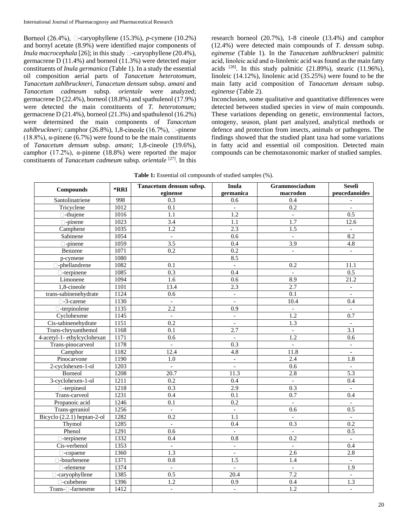Borneol  $(26.4\%)$ ,  $\Box$ -caryophyllene  $(15.3\%)$ , *p*-cymene  $(10.2\%)$ and bornyl acetate (8.9%) were identified major components of *Inula macrocephala* [26]; in this study  $\Box$ -caryophyllene (20.4%), germacrene D (11.4%) and borneol (11.3%) were detected major constituents of *Inula germanica* (Table 1). In a study the essential oil composition aerial parts of *Tanacetum heterotomum*, *Tanacetum zahlbruckneri*, *Tanacetum densum* subsp. *amani* and *Tanacetum cadmeum* subsp. *orientale* were analyzed; germacrene D (22.4%), borneol (18.8%) and spathulenol (17.9%) were detected the main constituents of *T. heterotomum;*  germacrene D (21.4%), borneol (21.3%) and spathulenol (16.2%) were determined the main components of *Tanacetum zahlbruckneri;* camphor (26.8%), 1,8-cineole (16.7%),  $\Box$ -pinene (18.8%),  $\alpha$ -pinene (6.7%) were found to be the main constituents of *Tanacetum densum* subsp. *amani*; 1,8-cineole (19.6%), camphor (17.2%), α-pinene (18.8%) were reported the major constituents of *Tanacetum cadmeum* subsp. *orientale* [27]. In this

research borneol (20.7%), 1-8 cineole (13.4%) and camphor (12.4%) were detected main compounds of *T. densum* subsp. *eginense* (Table 1). In the *Tanacetum zahlbruckneri* palmitic acid, linoleic acid and α-linolenic acid was found as the main fatty acids  $[28]$ . In this study palmitic  $(21.89%)$ , stearic  $(11.96%)$ , linoleic (14.12%), linolenic acid (35.25%) were found to be the main fatty acid composition of *Tanacetum densum* subsp. *eginense* (Table 2).

Inconclusion, some qualitative and quantitative differences were detected between studied species in view of main compounds. These variations depending on genetic, environmental factors, ontogeny, season, plant part analyzed, analytical methods or defence and protection from insects, animals or pathogens. The findings showed that the studied plant taxa had some variations in fatty acid and essential oil composition. Detected main compounds can be chemotaxonomic marker of studied samples.

| <b>Compounds</b>            | *RRI              | Tanacetum densum subsp.<br>eginense | Inula<br>germanica       | Grammosciadum<br>macrodon | <b>Seseli</b><br>peucedanoides |  |
|-----------------------------|-------------------|-------------------------------------|--------------------------|---------------------------|--------------------------------|--|
| Santolinatriene             | 998               | 0.3                                 | 0.6                      | 0.4                       |                                |  |
| Tricyclene                  | 1012              | 0.1                                 | $\mathbb{L}$             | 0.2                       | $\equiv$                       |  |
| $\Box$ -thujene             | 1016              | 1.1                                 | 1.2                      | $\overline{\phantom{m}}$  | 0.5                            |  |
| $\Box$ -pinene              | 1023              | 3.4                                 | 1.1                      | 1.7                       | 12.6                           |  |
| Camphene                    | 1035              | 1.2                                 | 2.3                      | 1.5                       | $\mathbf{r}$                   |  |
| Sabinene                    | 1054              | $\Box$                              | 0.6                      | $\overline{\phantom{a}}$  | 8.2                            |  |
| $\Box$ -pinene              | 1059              | $\overline{3.5}$                    | 0.4                      | 3.9                       | 4.8                            |  |
| Benzene                     | 1071              | 0.2                                 | 0.2                      | $\overline{a}$            |                                |  |
| p-cymene                    | 1080              |                                     | 8.5                      |                           |                                |  |
| $\Box$ -phellandrene        | 1082              | 0.1                                 | $\overline{\phantom{a}}$ | 0.2                       | 11.1                           |  |
| $\Box$ -terpinene           | 1085              | 0.3                                 | 0.4                      | $\blacksquare$            | 0.5                            |  |
| Limonene                    | 1094              | 1.6                                 | 0.6                      | 8.9                       | 21.2                           |  |
| 1.8-cineole                 | 1101              | 13.4                                | $\overline{2.3}$         | 2.7                       | $\mathbb{L}$                   |  |
| trans-sabinenehydrate       | 1124              | 0.6                                 | $\overline{\phantom{a}}$ | 0.1                       | $\overline{\phantom{a}}$       |  |
| □-3-carene                  | 1130              | $\mathbb{L}$                        | $\blacksquare$           | 10.4                      | 0.4                            |  |
| $\Box$ -terpinolene         | 1135              | $\overline{2.2}$                    | 0.9                      | $\overline{\phantom{a}}$  |                                |  |
| Cyclohexene                 | 1145              | $\mathbb{L}$                        | $\blacksquare$           | $\overline{1.2}$          | $\overline{0.7}$               |  |
| Cis-sabinenehydrate         | $\overline{1151}$ | 0.2                                 | $\sim$                   | 1.3                       | $\blacksquare$                 |  |
| Trans-chrysanthemol         | 1168              | $\overline{0.1}$                    | 2.7                      | $\overline{\phantom{a}}$  | $\overline{3.1}$               |  |
| 4-acetyl-1-ethylcyclohexan  | 1171              | 0.6                                 | $\mathbb{L}$             | 1.2                       | 0.6                            |  |
| Trans-pinocarveol           | 1178              | $\equiv$                            | 0.3                      | $\blacksquare$            | $\overline{\phantom{a}}$       |  |
| Camphor                     | 1182              | 12.4                                | 4.8                      | 11.8                      | $\hat{\mathbf{r}}$             |  |
| Pinocarvone                 | 1190              | 1.0                                 | $\overline{\phantom{a}}$ | 2.4                       | 1.8                            |  |
| 2-cyclohexen-1-ol           | 1203              | $\overline{a}$                      | $\overline{\phantom{a}}$ | 0.6                       | $\overline{\phantom{a}}$       |  |
| Borneol                     | 1208              | 20.7                                | 11.3                     | 2.8                       | 5.3                            |  |
| 3-cyclohexen-1-ol           | 1211              | $\overline{0.2}$                    | 0.4                      | $\Box$                    | $\overline{0.4}$               |  |
| □-terpineol                 | 1218              | 0.3                                 | 2.9                      | $\overline{0.3}$          |                                |  |
| Trans-carveol               | 1231              | 0.4                                 | 0.1                      | 0.7                       | 0.4                            |  |
| Propanoic acid              | 1246              | 0.1                                 | 0.2                      | $\overline{\phantom{a}}$  |                                |  |
| Trans-geraniol              | 1256              | $\mathbf{r}$                        | $\mathbf{r}$             | 0.6                       | 0.5                            |  |
| Bicyclo (2.2.1) heptan-2-ol | 1282              | 0.2                                 | $\overline{1.1}$         | $\overline{\phantom{a}}$  | $\overline{\phantom{a}}$       |  |
| Thymol                      | 1285              | $\Box$                              | 0.4                      | 0.3                       | 0.2                            |  |
| Phenol                      | 1291              | 0.6                                 | $\mathbb{L}$             | $\blacksquare$            | 0.5                            |  |
| $\Box$ -terpinene           | 1332              | 0.4                                 | 0.8                      | $\overline{0.2}$          | $\blacksquare$                 |  |
| Cis-verbenol                | 1353              | $\mathbb{L}$                        | $\overline{\phantom{a}}$ | $\mathbb{L}^+$            | 0.4                            |  |
| $\Box$ -copaene             | 1360              | 1.3                                 | $\overline{\phantom{a}}$ | 2.6                       | 2.8                            |  |
| -bourbenene                 | 1371              | 0.8                                 | 1.5                      | 1.4                       | $\blacksquare$                 |  |
| □-elemene                   | 1374              | $\overline{a}$                      |                          | $\overline{\phantom{a}}$  | 1.9                            |  |
| caryophyllene               | 1385              | 0.5                                 | 20.4                     | 7.2                       | $\mathbb{L}$                   |  |
| □-cubebene                  | 1396              | $\overline{1.2}$                    | $\overline{0.9}$         | 0.4                       | 1.3                            |  |
| Trans-□-farnesene           | 1412              | $\overline{\phantom{a}}$            | $\overline{\phantom{a}}$ | 1.2                       | $\mathbb{L}$                   |  |

**Table 1:** Essential oil compounds of studied samples (%).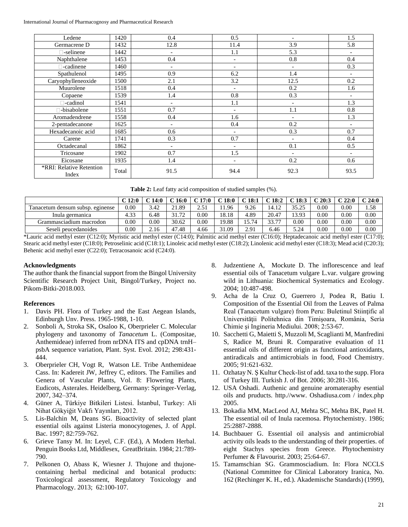International Journal of Pharmacognosy and Pharmaceutical Research

| Ledene                            | 1420  | 0.4                      | 0.5                          | $\overline{\phantom{a}}$ | 1.5                      |
|-----------------------------------|-------|--------------------------|------------------------------|--------------------------|--------------------------|
| Germacrene D                      | 1432  | 12.8                     | 11.4                         | 3.9                      | 5.8                      |
| -selinene                         | 1442  | $\overline{\phantom{a}}$ | 1.1                          | 5.3                      | $\overline{a}$           |
| Naphthalene                       | 1453  | 0.4                      | $\overline{\phantom{0}}$     | 0.8                      | 0.4                      |
| $\Box$ -cadinene                  | 1460  | $\overline{\phantom{a}}$ | $\overline{\phantom{a}}$     | $\overline{\phantom{a}}$ | 0.3                      |
| Spathulenol                       | 1495  | 0.9                      | 6.2                          | 1.4                      | $\overline{\phantom{a}}$ |
| Caryophylleneoxide                | 1500  | 2.1                      | 3.2                          | 12.5                     | 0.2                      |
| Muurolene                         | 1518  | 0.4                      | $\overline{\phantom{a}}$     | 0.2                      | 1.6                      |
| Copaene                           | 1539  | 1.4                      | 0.8                          | 0.3                      | $\overline{\phantom{0}}$ |
| $\Box$ -cadinol                   | 1541  | $\overline{\phantom{a}}$ | 1.1                          | $\overline{\phantom{a}}$ | 1.3                      |
| -bisabolene                       | 1551  | 0.7                      | $\qquad \qquad -$            | 1.1                      | 0.8                      |
| Aromadendrene                     | 1558  | 0.4                      | 1.6                          | $\overline{\phantom{a}}$ | 1.3                      |
| 2-pentadecanone                   | 1625  | $\overline{\phantom{a}}$ | 0.4                          | 0.2                      | $\overline{\phantom{a}}$ |
| Hexadecanoic acid                 | 1685  | 0.6                      | $\qquad \qquad -$            | 0.3                      | 0.7                      |
| Carene                            | 1741  | 0.3                      | 0.7                          | $\overline{\phantom{a}}$ | 0.4                      |
| Octadecanal                       | 1862  | $\overline{\phantom{a}}$ | $\overline{a}$               | 0.1                      | 0.5                      |
| Tricosane                         | 1902  | 0.7                      | 1.5                          | $\overline{\phantom{a}}$ | $\overline{\phantom{a}}$ |
| Eicosane                          | 1935  | 1.4                      | $\qquad \qquad \blacksquare$ | 0.2                      | 0.6                      |
| *RRI: Relative Retention<br>Index | Total | 91.5                     | 94.4                         | 92.3                     | 93.5                     |

|  |  | Table 2: Leaf fatty acid composition of studied samples (%). |  |  |  |
|--|--|--------------------------------------------------------------|--|--|--|
|--|--|--------------------------------------------------------------|--|--|--|

|                                        | 12:0     | 14:0     | 16:0          | 17:0     | <b>18:0</b> | 18:1        | 18:2  | 18:3           | C <sub>20:3</sub> | $C_22:0$ | C <sub>24:0</sub> |
|----------------------------------------|----------|----------|---------------|----------|-------------|-------------|-------|----------------|-------------------|----------|-------------------|
| l'anacetum densum subsp.<br>. eginense | $0.00\,$ | 3.42     | $\angle 1.89$ | ے بے مسک | .96         | 9.26        | 14.12 | 35<br>25       | 0.00              | 0.00     | 1.58              |
| Inula germanica                        | 4.33     | 6.48     | 70            | $0.00\,$ | 18.18       | 4.89        | 20.47 | 13.03<br>19.79 | 0.00              | 0.00     | 0.00              |
| Grammasciadium macrodon                | 0.00     | $0.00\,$ | 30.62         | $0.00\,$ | 19.88       | .74<br>15.7 | 33.77 | $0.00\,$       | 0.00              | 0.00     | 0.00              |
| Seseli peucedanoides                   | $0.00\,$ | 2.16     | 47.48         | 4.66     | 0.1.09      | 2.91        | 6.46  | 5.24           | 0.00              | 0.00     | 0.00              |

\*Lauric acid methyl ester (C12:0); Myristic acid methyl ester (C14:0); Palmitic acid methyl ester (C16:0); Heptadecanoic acid methyl ester (C17:0); Stearic acid methyl ester (C18:0); Petroselinic acid (C18:1); Linoleic acid methyl ester (C18:2); Linolenic acid methyl ester (C18:3); Mead acid (C20:3); Behenic acid methyl ester (C22:0); Tetracosanoic acid (C24:0).

### **Acknowledgments**

The author thank the financial support from the Bingol University Scientific Research Project Unit, Bingol/Turkey, Project no. Pikom-Bitki-2018.003.

## **References**

- 1. Davis PH. Flora of Turkey and the East Aegean Islands, Edinburgh Unv. Press. 1965-1988, 1-10.
- 2. Sonboli A, Stroka SK, Osaloo K, Oberprieler C. Molecular phylogeny and taxonomy of *Tanacetum* L. (Compositae, Anthemideae) inferred from nrDNA ITS and cpDNA trnH– psbA sequence variation, Plant. Syst. Evol. 2012; 298:431- 444.
- 3. Oberprieler CH, Vogt R, Watson LE. Tribe Anthemideae Cass. In: Kadereit JW, Jeffrey C, editors. The Families and Genera of Vascular Plants, Vol. 8: Flowering Plants, Eudicots, Asterales. Heidelberg, Germany: Springer-Verlag, 2007, 342–374.
- 4. Güner A, Türkiye Bitkileri Listesi. İstanbul, Turkey: Ali Nihat Gökyiğit Vakfı Yayınları, 2012.
- 5. Lis-Balchin M, Deans SG. Bioactivity of selected plant essential oils against Listeria monocytogenes, J. of Appl. Bac. 1997; 82:759-762.
- 6. Grieve Tansy M. In: Leyel, C.F. (Ed.), A Modern Herbal. Penguin Books Ltd, Middlesex, GreatBritain. 1984; 21:789- 790.
- 7. Pelkonen O, Abass K, Wiesner J. Thujone and thujonecontaining herbal medicinal and botanical products: Toxicological assessment, Regulatory Toxicology and Pharmacology. 2013; 62:100-107.
- 8. Judzentiene A, Mockute D. The inflorescence and leaf essential oils of Tanacetum vulgare L.var. vulgare growing wild in Lithuania: Biochemical Systematics and Ecology. 2004; 10:487-498.
- 9. Acha de la Cruz O, Guerrero J, Podea R, Batiu I. Composition of the Essential Oil from the Leaves of Palma Real (Tanacetum vulgare) from Peru: Buletinul Stiinţific al Universităţii Politehnica din Timişoara, România, Seria Chimie şi Ingineria Mediului. 2008; 2:53-67.
- 10. Sacchetti G, Maietti S, Muzzoli M, Scaglianti M, Manfredini S, Radice M, Bruni R. Comparative evaluation of 11 essential oils of different origin as functional antioxidants, antiradicals and antimicrobials in food, Food Chemistry. 2005; 91:621-632.
- 11. Ozhatay N. Ş Kultur Check-list of add. taxa to the supp. Flora of Turkey III. Turkish J. of Bot. 2006; 30:281-316.
- 12. USA Oshadi. Authenic and genuine aromateraphy esential oils and pruducts. http.//www. Oshadiusa.com / index.php 2005.
- 13. Bokadia MM, MacLeod AJ, Mehta SC, Mehta BK, Patel H. The essential oil of Inula racemosa. Phytochemistry. 1986; 25:2887-2888.
- 14. Buchbauer G. Essential oil analysis and antimicrobial activity oils leads to the understanding of their properties. of eight Stachys species from Greece. Phytochemistry Perfumer & Flavourist. 2003; 25:64-67.
- 15. Tamamschian SG. Grammosciadium. In: Flora NCCLS (National Committee for Clinical Laboratory Iranica, No. 162 (Rechinger K. H., ed.). Akademische Standards) (1999),